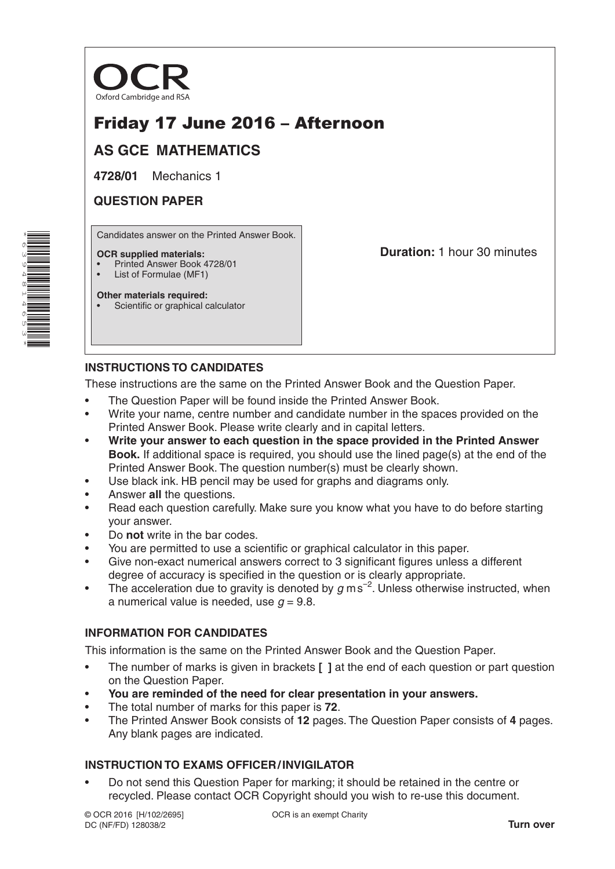

# Friday 17 June 2016 – Afternoon

# **AS GCE MATHEMATICS**

**4728/01** Mechanics 1

### **QUESTION PAPER**

Candidates answer on the Printed Answer Book.

#### **OCR supplied materials:**

- Printed Answer Book 4728/01
- List of Formulae (MF1)

**Duration:** 1 hour 30 minutes

#### **Other materials required:** Scientific or graphical calculator

## **INSTRUCTIONS TO CANDIDATES**

These instructions are the same on the Printed Answer Book and the Question Paper.

- The Question Paper will be found inside the Printed Answer Book.
- Write your name, centre number and candidate number in the spaces provided on the Printed Answer Book. Please write clearly and in capital letters.
- **Write your answer to each question in the space provided in the Printed Answer Book.** If additional space is required, you should use the lined page(s) at the end of the Printed Answer Book. The question number(s) must be clearly shown.
- Use black ink. HB pencil may be used for graphs and diagrams only.
- Answer **all** the questions.
- Read each question carefully. Make sure you know what you have to do before starting your answer.
- Do **not** write in the bar codes.
- You are permitted to use a scientific or graphical calculator in this paper.
- Give non-exact numerical answers correct to 3 significant figures unless a different degree of accuracy is specified in the question or is clearly appropriate.
- The acceleration due to gravity is denoted by  $g$  ms<sup>-2</sup>. Unless otherwise instructed, when a numerical value is needed, use  $q = 9.8$ .

### **INFORMATION FOR CANDIDATES**

This information is the same on the Printed Answer Book and the Question Paper.

- The number of marks is given in brackets **[ ]** at the end of each question or part question on the Question Paper.
- **You are reminded of the need for clear presentation in your answers.**
- The total number of marks for this paper is **72**.
- The Printed Answer Book consists of **12** pages. The Question Paper consists of **4** pages. Any blank pages are indicated.

### **INSTRUCTION TO EXAMS OFFICER/INVIGILATOR**

• Do not send this Question Paper for marking; it should be retained in the centre or recycled. Please contact OCR Copyright should you wish to re-use this document.



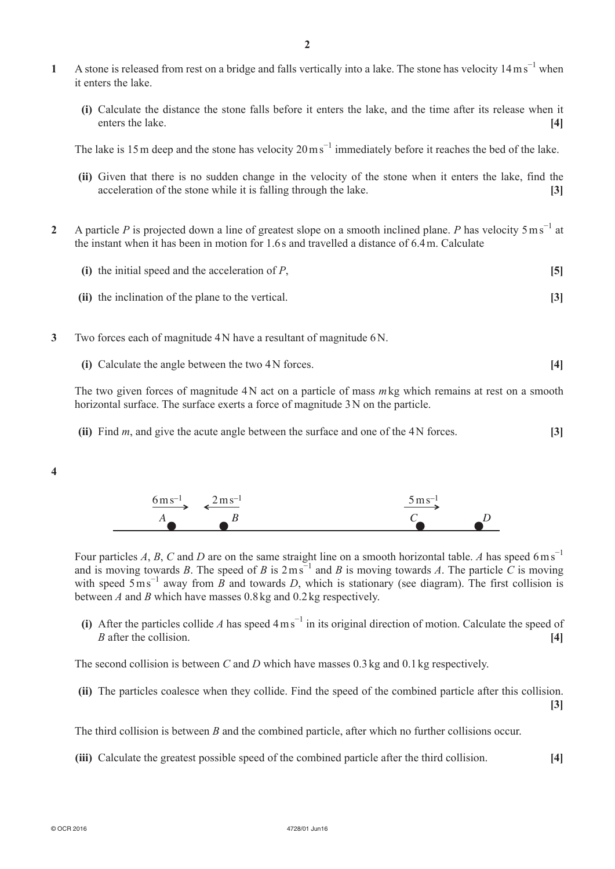- **1** A stone is released from rest on a bridge and falls vertically into a lake. The stone has velocity 14ms<sup>-1</sup> when it enters the lake.
	- **(i)** Calculate the distance the stone falls before it enters the lake, and the time after its release when it enters the lake. **[4]**

The lake is 15 m deep and the stone has velocity  $20 \text{ m s}^{-1}$  immediately before it reaches the bed of the lake.

- **(ii)** Given that there is no sudden change in the velocity of the stone when it enters the lake, find the acceleration of the stone while it is falling through the lake. **[3]**
- **2** A particle *P* is projected down a line of greatest slope on a smooth inclined plane. *P* has velocity 5ms<sup>-1</sup> at the instant when it has been in motion for 1.6s and travelled a distance of 6.4m. Calculate
	- **(i)** the initial speed and the acceleration of  $P$ ,  $[5]$ **(ii)** the inclination of the plane to the vertical. **[3]**
- **3**  Two forces each of magnitude 4N have a resultant of magnitude 6N.
	- **(i)** Calculate the angle between the two 4N forces. **[4]**

The two given forces of magnitude 4N act on a particle of mass *m*kg which remains at rest on a smooth horizontal surface. The surface exerts a force of magnitude 3N on the particle.

**(ii)** Find *m*, and give the acute angle between the surface and one of the 4N forces.  $\blacksquare$ 

**4** 



Four particles *A*, *B*, *C* and *D* are on the same straight line on a smooth horizontal table. *A* has speed 6ms<sup>-1</sup> and is moving towards *B*. The speed of *B* is  $2 \text{ ms}^{-1}$  and *B* is moving towards *A*. The particle *C* is moving with speed  $5 \text{ ms}^{-1}$  away from  $\overline{B}$  and towards  $D$ , which is stationary (see diagram). The first collision is between *A* and *B* which have masses 0.8kg and 0.2kg respectively.

**(i)** After the particles collide *A* has speed  $4 \text{ m s}^{-1}$  in its original direction of motion. Calculate the speed of *B* after the collision. **[4]**

The second collision is between *C* and *D* which have masses 0.3kg and 0.1kg respectively.

**(ii)** The particles coalesce when they collide. Find the speed of the combined particle after this collision.

**[3]**

The third collision is between *B* and the combined particle, after which no further collisions occur.

**(iii)** Calculate the greatest possible speed of the combined particle after the third collision. **[4]**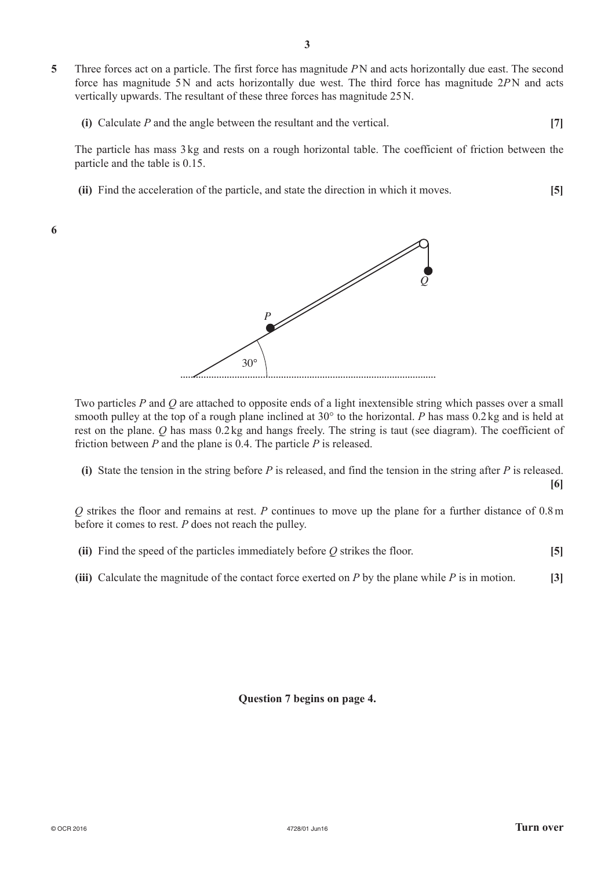- **3**
- **5**  Three forces act on a particle. The first force has magnitude *P*N and acts horizontally due east. The second force has magnitude 5N and acts horizontally due west. The third force has magnitude 2*P*N and acts vertically upwards. The resultant of these three forces has magnitude 25N.

| (i) Calculate $P$ and the angle between the resultant and the vertical. |  |
|-------------------------------------------------------------------------|--|
|                                                                         |  |

The particle has mass 3 kg and rests on a rough horizontal table. The coefficient of friction between the particle and the table is 0.15.

**(ii)** Find the acceleration of the particle, and state the direction in which it moves. **[5]** 

**6** 



Two particles *P* and *Q* are attached to opposite ends of a light inextensible string which passes over a small smooth pulley at the top of a rough plane inclined at 30° to the horizontal. *P* has mass 0.2kg and is held at rest on the plane. *Q* has mass 0.2 kg and hangs freely. The string is taut (see diagram). The coefficient of friction between *P* and the plane is 0.4. The particle *P* is released.

**(i)** State the tension in the string before  $P$  is released, and find the tension in the string after  $P$  is released.

**[6]**

*Q* strikes the floor and remains at rest. *P* continues to move up the plane for a further distance of 0.8m before it comes to rest. *P* does not reach the pulley.

|  |  | (ii) Find the speed of the particles immediately before $Q$ strikes the floor. | $\left[5\right]$ |
|--|--|--------------------------------------------------------------------------------|------------------|
|--|--|--------------------------------------------------------------------------------|------------------|

**(iii)** Calculate the magnitude of the contact force exerted on *P* by the plane while *P* is in motion.  $[3]$ 

**Question 7 begins on page 4.**